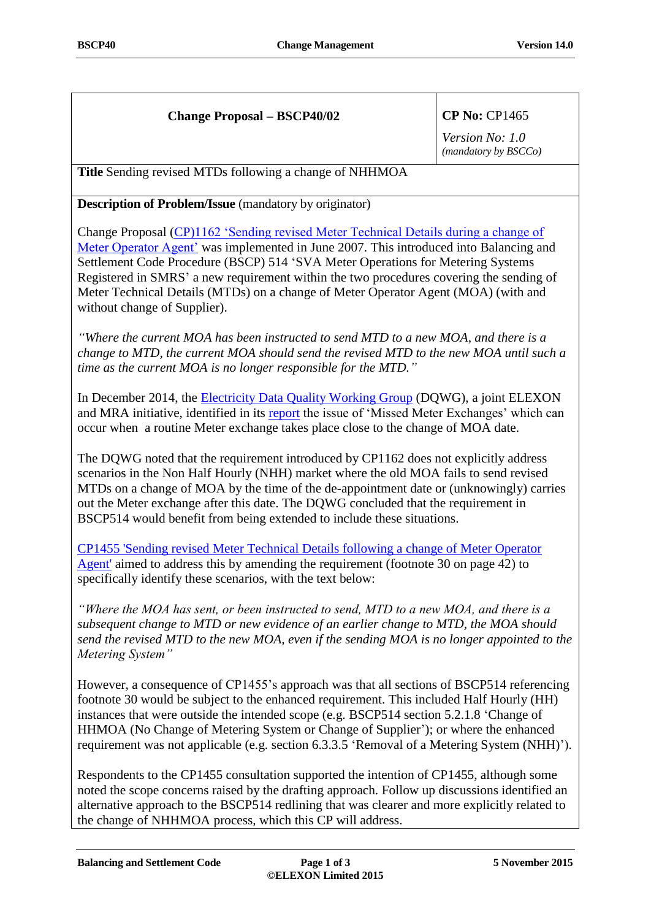# **Change Proposal – BSCP40/02 CP No:** CP1465

*Version No: 1.0 (mandatory by BSCCo)*

**Title** Sending revised MTDs following a change of NHHMOA

**Description of Problem/Issue** (mandatory by originator)

Change Proposal [\(CP\)1162 'Sending revised Meter Technical Details during a change of](https://www.elexon.co.uk/change-proposal/cp1162-sending-revised-meter-technical-details-during-a-change-of-meter-operator-agent/)  [Meter Operator Agent'](https://www.elexon.co.uk/change-proposal/cp1162-sending-revised-meter-technical-details-during-a-change-of-meter-operator-agent/) was implemented in June 2007. This introduced into Balancing and Settlement Code Procedure (BSCP) 514 'SVA Meter Operations for Metering Systems Registered in SMRS' a new requirement within the two procedures covering the sending of Meter Technical Details (MTDs) on a change of Meter Operator Agent (MOA) (with and without change of Supplier).

*"Where the current MOA has been instructed to send MTD to a new MOA, and there is a change to MTD, the current MOA should send the revised MTD to the new MOA until such a time as the current MOA is no longer responsible for the MTD."*

In December 2014, the [Electricity Data Quality Working Group](https://www.elexon.co.uk/wp-content/uploads/2013/12/231_07_Data_Quality_Report.pdf) (DQWG), a joint ELEXON and MRA initiative, identified in its [report](http://www.mrasco.com/admin/documents/Electricity%20Data%20Quality%20Working%20Group%20Report_v1.0.pdf) the issue of 'Missed Meter Exchanges' which can occur when a routine Meter exchange takes place close to the change of MOA date.

The DQWG noted that the requirement introduced by CP1162 does not explicitly address scenarios in the Non Half Hourly (NHH) market where the old MOA fails to send revised MTDs on a change of MOA by the time of the de-appointment date or (unknowingly) carries out the Meter exchange after this date. The DQWG concluded that the requirement in BSCP514 would benefit from being extended to include these situations.

[CP1455 'Sending revised Meter Technical Details following a change of Meter Operator](https://www.elexon.co.uk/change-proposal/cp1455/)  [Agent'](https://www.elexon.co.uk/change-proposal/cp1455/) aimed to address this by amending the requirement (footnote 30 on page 42) to specifically identify these scenarios, with the text below:

*"Where the MOA has sent, or been instructed to send, MTD to a new MOA, and there is a subsequent change to MTD or new evidence of an earlier change to MTD, the MOA should send the revised MTD to the new MOA, even if the sending MOA is no longer appointed to the Metering System"*

However, a consequence of CP1455's approach was that all sections of BSCP514 referencing footnote 30 would be subject to the enhanced requirement. This included Half Hourly (HH) instances that were outside the intended scope (e.g. BSCP514 section 5.2.1.8 'Change of HHMOA (No Change of Metering System or Change of Supplier'); or where the enhanced requirement was not applicable (e.g. section 6.3.3.5 'Removal of a Metering System (NHH)').

Respondents to the CP1455 consultation supported the intention of CP1455, although some noted the scope concerns raised by the drafting approach. Follow up discussions identified an alternative approach to the BSCP514 redlining that was clearer and more explicitly related to the change of NHHMOA process, which this CP will address.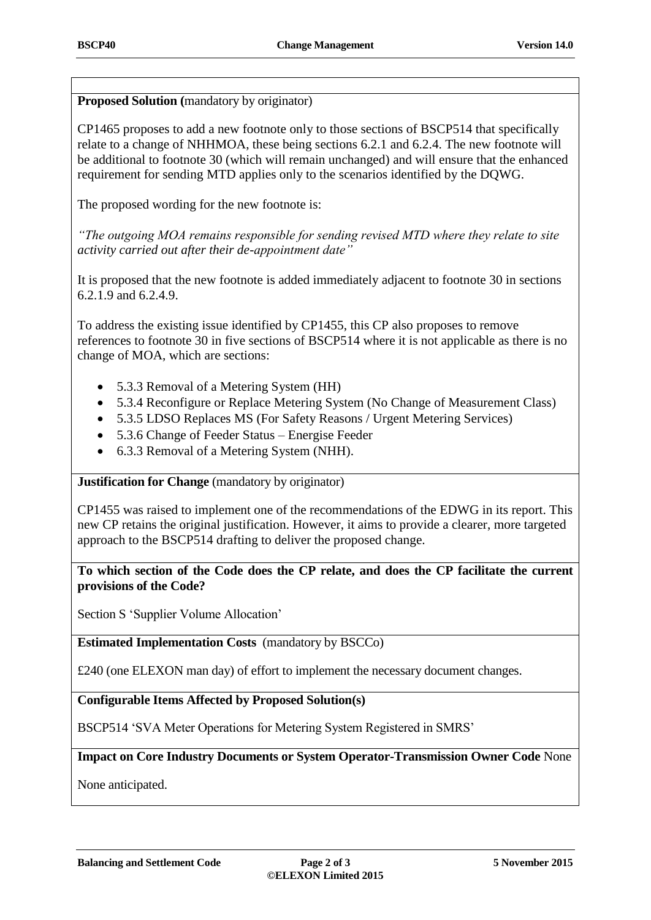**Proposed Solution (**mandatory by originator)

CP1465 proposes to add a new footnote only to those sections of BSCP514 that specifically relate to a change of NHHMOA, these being sections 6.2.1 and 6.2.4. The new footnote will be additional to footnote 30 (which will remain unchanged) and will ensure that the enhanced requirement for sending MTD applies only to the scenarios identified by the DQWG.

The proposed wording for the new footnote is:

*"The outgoing MOA remains responsible for sending revised MTD where they relate to site activity carried out after their de-appointment date"*

It is proposed that the new footnote is added immediately adjacent to footnote 30 in sections 6.2.1.9 and 6.2.4.9.

To address the existing issue identified by CP1455, this CP also proposes to remove references to footnote 30 in five sections of BSCP514 where it is not applicable as there is no change of MOA, which are sections:

- 5.3.3 Removal of a Metering System (HH)
- 5.3.4 Reconfigure or Replace Metering System (No Change of Measurement Class)
- 5.3.5 LDSO Replaces MS (For Safety Reasons / Urgent Metering Services)
- 5.3.6 Change of Feeder Status Energise Feeder
- 6.3.3 Removal of a Metering System (NHH).

**Justification for Change** (mandatory by originator)

CP1455 was raised to implement one of the recommendations of the EDWG in its report. This new CP retains the original justification. However, it aims to provide a clearer, more targeted approach to the BSCP514 drafting to deliver the proposed change.

## **To which section of the Code does the CP relate, and does the CP facilitate the current provisions of the Code?**

Section S 'Supplier Volume Allocation'

**Estimated Implementation Costs** (mandatory by BSCCo)

£240 (one ELEXON man day) of effort to implement the necessary document changes.

**Configurable Items Affected by Proposed Solution(s)**

BSCP514 'SVA Meter Operations for Metering System Registered in SMRS'

**Impact on Core Industry Documents or System Operator-Transmission Owner Code** None

None anticipated.